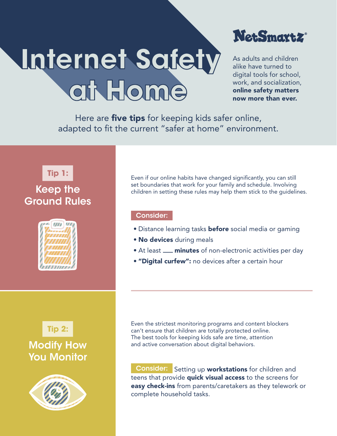## **at Home Internet Safety**



As adults and children alike have turned to digital tools for school, work, and socialization, online safety matters now more than ever.

Here are **five tips** for keeping kids safer online, adapted to fit the current "safer at home" environment.



## Keep the Ground Rules







Even if our online habits have changed significantly, you can still set boundaries that work for your family and schedule. Involving children in setting these rules may help them stick to the guidelines.

## Consider:

- Distance learning tasks **before** social media or gaming
- No devices during meals
- At least **\_\_ minutes** of non-electronic activities per day
- "Digital curfew": no devices after a certain hour

Even the strictest monitoring programs and content blockers can't ensure that children are totally protected online. The best tools for keeping kids safe are time, attention and active conversation about digital behaviors.

Consider: Setting up workstations for children and teens that provide **quick visual access** to the screens for easy check-ins from parents/caretakers as they telework or complete household tasks.